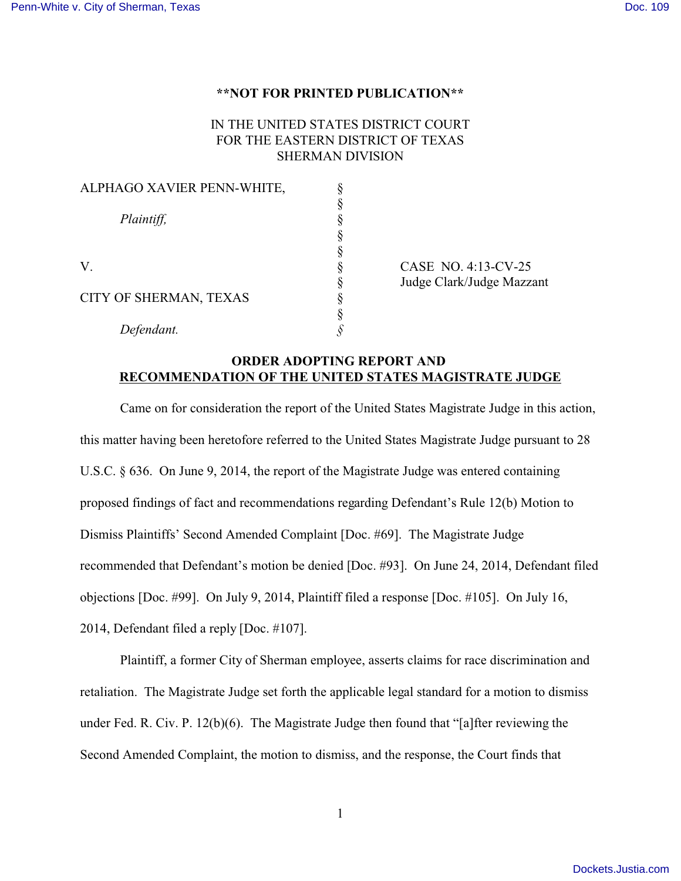## **\*\*NOT FOR PRINTED PUBLICATION\*\***

## IN THE UNITED STATES DISTRICT COURT FOR THE EASTERN DISTRICT OF TEXAS SHERMAN DIVISION

| ALPHAGO XAVIER PENN-WHITE, |   |
|----------------------------|---|
|                            | ş |
| Plaintiff,                 |   |
|                            |   |
|                            |   |
| V.                         |   |
|                            |   |
| CITY OF SHERMAN, TEXAS     |   |
|                            |   |
| Defendant.                 |   |

CASE NO. 4:13-CV-25 § Judge Clark/Judge Mazzant

## **ORDER ADOPTING REPORT AND RECOMMENDATION OF THE UNITED STATES MAGISTRATE JUDGE**

Came on for consideration the report of the United States Magistrate Judge in this action, this matter having been heretofore referred to the United States Magistrate Judge pursuant to 28 U.S.C. § 636. On June 9, 2014, the report of the Magistrate Judge was entered containing proposed findings of fact and recommendations regarding Defendant's Rule 12(b) Motion to Dismiss Plaintiffs' Second Amended Complaint [Doc. #69]. The Magistrate Judge recommended that Defendant's motion be denied [Doc. #93]. On June 24, 2014, Defendant filed objections [Doc. #99]. On July 9, 2014, Plaintiff filed a response [Doc. #105]. On July 16, 2014, Defendant filed a reply [Doc. #107].

Plaintiff, a former City of Sherman employee, asserts claims for race discrimination and retaliation. The Magistrate Judge set forth the applicable legal standard for a motion to dismiss under Fed. R. Civ. P. 12(b)(6). The Magistrate Judge then found that "[a]fter reviewing the Second Amended Complaint, the motion to dismiss, and the response, the Court finds that